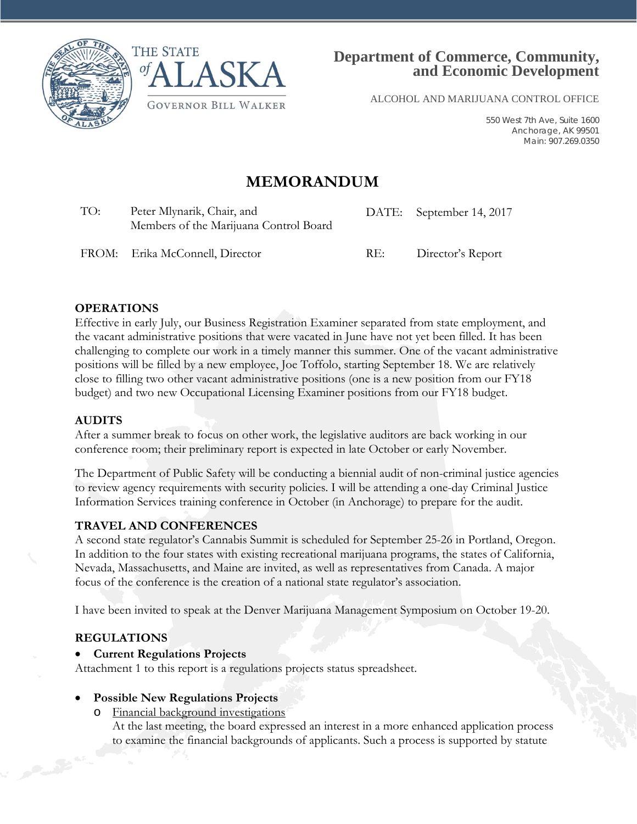



ALCOHOL AND MARIJUANA CONTROL OFFICE

550 West 7th Ave, Suite 1600 Anchorage, AK 99501 Main: 907.269.0350

# **MEMORANDUM**

TO: Peter Mlynarik, Chair, and Members of the Marijuana Control Board DATE: September 14, 2017

FROM: Erika McConnell, Director RE: Director's Report

### **OPERATIONS**

Effective in early July, our Business Registration Examiner separated from state employment, and the vacant administrative positions that were vacated in June have not yet been filled. It has been challenging to complete our work in a timely manner this summer. One of the vacant administrative positions will be filled by a new employee, Joe Toffolo, starting September 18. We are relatively close to filling two other vacant administrative positions (one is a new position from our FY18 budget) and two new Occupational Licensing Examiner positions from our FY18 budget.

### **AUDITS**

After a summer break to focus on other work, the legislative auditors are back working in our conference room; their preliminary report is expected in late October or early November.

The Department of Public Safety will be conducting a biennial audit of non-criminal justice agencies to review agency requirements with security policies. I will be attending a one-day Criminal Justice Information Services training conference in October (in Anchorage) to prepare for the audit.

### **TRAVEL AND CONFERENCES**

A second state regulator's Cannabis Summit is scheduled for September 25-26 in Portland, Oregon. In addition to the four states with existing recreational marijuana programs, the states of California, Nevada, Massachusetts, and Maine are invited, as well as representatives from Canada. A major focus of the conference is the creation of a national state regulator's association.

I have been invited to speak at the Denver Marijuana Management Symposium on October 19-20.

### **REGULATIONS**

• **Current Regulations Projects**

Attachment 1 to this report is a regulations projects status spreadsheet.

#### • **Possible New Regulations Projects**

Financial background investigations

At the last meeting, the board expressed an interest in a more enhanced application process to examine the financial backgrounds of applicants. Such a process is supported by statute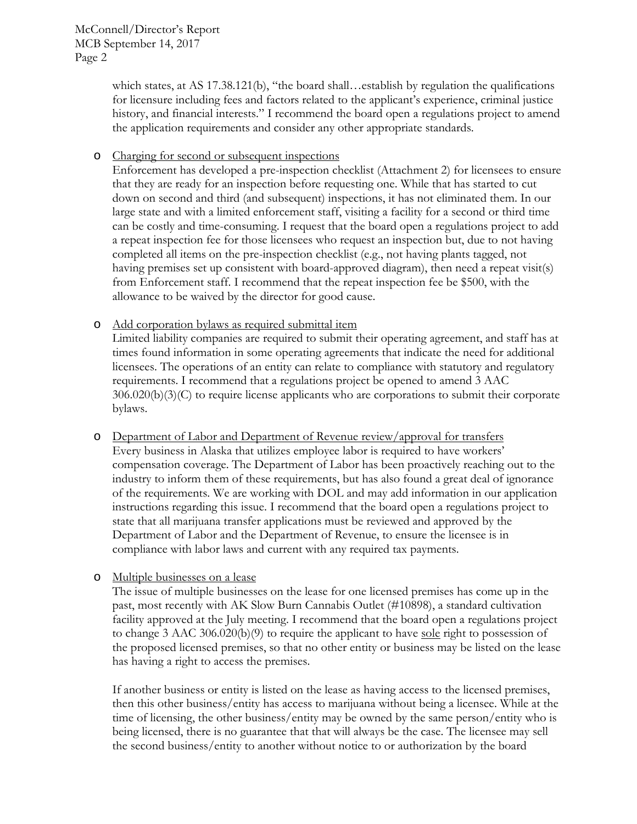which states, at AS 17.38.121(b), "the board shall...establish by regulation the qualifications for licensure including fees and factors related to the applicant's experience, criminal justice history, and financial interests." I recommend the board open a regulations project to amend the application requirements and consider any other appropriate standards.

o Charging for second or subsequent inspections

Enforcement has developed a pre-inspection checklist (Attachment 2) for licensees to ensure that they are ready for an inspection before requesting one. While that has started to cut down on second and third (and subsequent) inspections, it has not eliminated them. In our large state and with a limited enforcement staff, visiting a facility for a second or third time can be costly and time-consuming. I request that the board open a regulations project to add a repeat inspection fee for those licensees who request an inspection but, due to not having completed all items on the pre-inspection checklist (e.g., not having plants tagged, not having premises set up consistent with board-approved diagram), then need a repeat visit(s) from Enforcement staff. I recommend that the repeat inspection fee be \$500, with the allowance to be waived by the director for good cause.

o Add corporation bylaws as required submittal item

Limited liability companies are required to submit their operating agreement, and staff has at times found information in some operating agreements that indicate the need for additional licensees. The operations of an entity can relate to compliance with statutory and regulatory requirements. I recommend that a regulations project be opened to amend 3 AAC 306.020(b)(3)(C) to require license applicants who are corporations to submit their corporate bylaws.

- o Department of Labor and Department of Revenue review/approval for transfers Every business in Alaska that utilizes employee labor is required to have workers' compensation coverage. The Department of Labor has been proactively reaching out to the industry to inform them of these requirements, but has also found a great deal of ignorance of the requirements. We are working with DOL and may add information in our application instructions regarding this issue. I recommend that the board open a regulations project to state that all marijuana transfer applications must be reviewed and approved by the Department of Labor and the Department of Revenue, to ensure the licensee is in compliance with labor laws and current with any required tax payments.
- o Multiple businesses on a lease

The issue of multiple businesses on the lease for one licensed premises has come up in the past, most recently with AK Slow Burn Cannabis Outlet (#10898), a standard cultivation facility approved at the July meeting. I recommend that the board open a regulations project to change 3 AAC 306.020(b)(9) to require the applicant to have sole right to possession of the proposed licensed premises, so that no other entity or business may be listed on the lease has having a right to access the premises.

If another business or entity is listed on the lease as having access to the licensed premises, then this other business/entity has access to marijuana without being a licensee. While at the time of licensing, the other business/entity may be owned by the same person/entity who is being licensed, there is no guarantee that that will always be the case. The licensee may sell the second business/entity to another without notice to or authorization by the board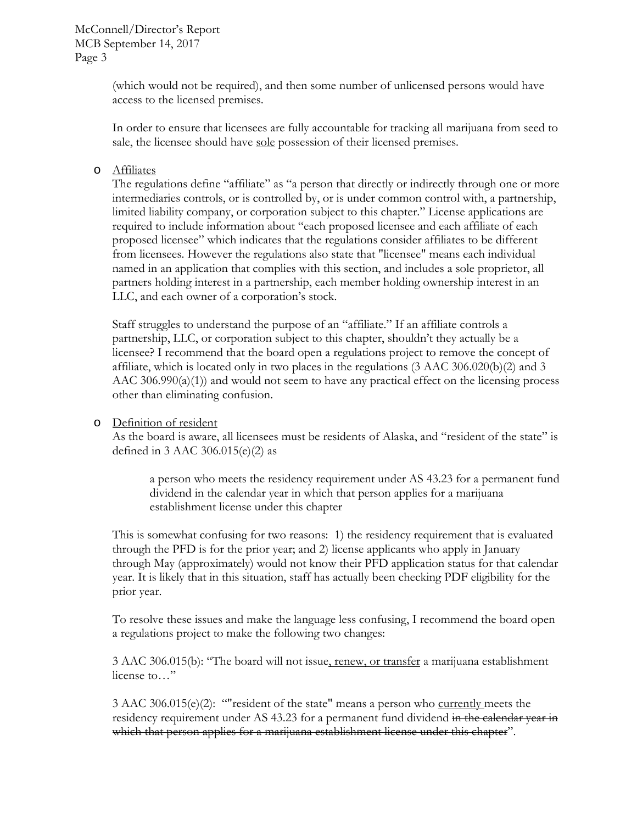(which would not be required), and then some number of unlicensed persons would have access to the licensed premises.

In order to ensure that licensees are fully accountable for tracking all marijuana from seed to sale, the licensee should have sole possession of their licensed premises.

### o Affiliates

The regulations define "affiliate" as "a person that directly or indirectly through one or more intermediaries controls, or is controlled by, or is under common control with, a partnership, limited liability company, or corporation subject to this chapter." License applications are required to include information about "each proposed licensee and each affiliate of each proposed licensee" which indicates that the regulations consider affiliates to be different from licensees. However the regulations also state that "licensee" means each individual named in an application that complies with this section, and includes a sole proprietor, all partners holding interest in a partnership, each member holding ownership interest in an LLC, and each owner of a corporation's stock.

Staff struggles to understand the purpose of an "affiliate." If an affiliate controls a partnership, LLC, or corporation subject to this chapter, shouldn't they actually be a licensee? I recommend that the board open a regulations project to remove the concept of affiliate, which is located only in two places in the regulations (3 AAC 306.020(b)(2) and 3 AAC 306.990(a)(1)) and would not seem to have any practical effect on the licensing process other than eliminating confusion.

#### o Definition of resident

As the board is aware, all licensees must be residents of Alaska, and "resident of the state" is defined in 3 AAC 306.015(e)(2) as

a person who meets the residency requirement under AS 43.23 for a permanent fund dividend in the calendar year in which that person applies for a marijuana establishment license under this chapter

This is somewhat confusing for two reasons: 1) the residency requirement that is evaluated through the PFD is for the prior year; and 2) license applicants who apply in January through May (approximately) would not know their PFD application status for that calendar year. It is likely that in this situation, staff has actually been checking PDF eligibility for the prior year.

To resolve these issues and make the language less confusing, I recommend the board open a regulations project to make the following two changes:

3 AAC 306.015(b): "The board will not issue, renew, or transfer a marijuana establishment license to…"

3 AAC 306.015(e)(2): "resident of the state" means a person who currently meets the residency requirement under AS 43.23 for a permanent fund dividend in the calendar year in which that person applies for a marijuana establishment license under this chapter".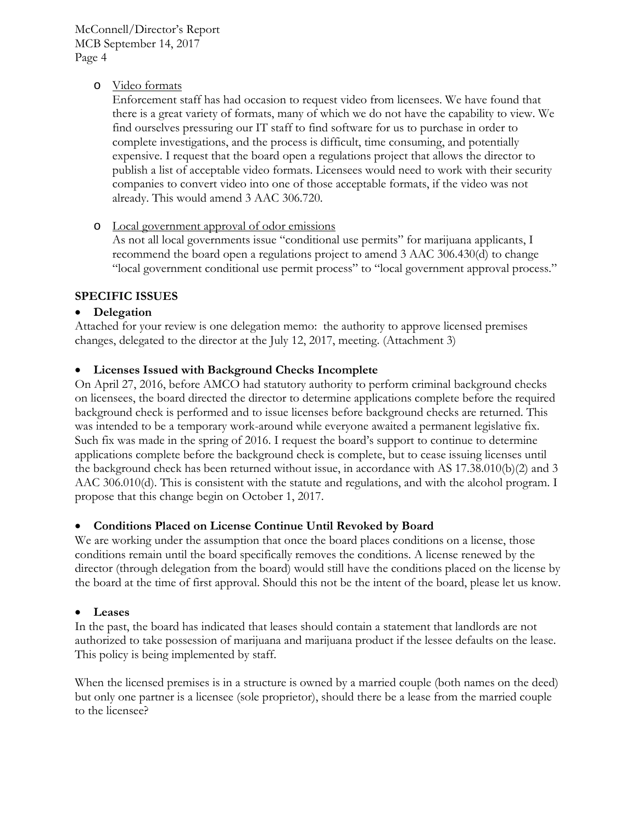McConnell/Director's Report MCB September 14, 2017 Page 4

### o Video formats

Enforcement staff has had occasion to request video from licensees. We have found that there is a great variety of formats, many of which we do not have the capability to view. We find ourselves pressuring our IT staff to find software for us to purchase in order to complete investigations, and the process is difficult, time consuming, and potentially expensive. I request that the board open a regulations project that allows the director to publish a list of acceptable video formats. Licensees would need to work with their security companies to convert video into one of those acceptable formats, if the video was not already. This would amend 3 AAC 306.720.

o Local government approval of odor emissions

As not all local governments issue "conditional use permits" for marijuana applicants, I recommend the board open a regulations project to amend 3 AAC 306.430(d) to change "local government conditional use permit process" to "local government approval process."

### **SPECIFIC ISSUES**

### • **Delegation**

Attached for your review is one delegation memo: the authority to approve licensed premises changes, delegated to the director at the July 12, 2017, meeting. (Attachment 3)

### • **Licenses Issued with Background Checks Incomplete**

On April 27, 2016, before AMCO had statutory authority to perform criminal background checks on licensees, the board directed the director to determine applications complete before the required background check is performed and to issue licenses before background checks are returned. This was intended to be a temporary work-around while everyone awaited a permanent legislative fix. Such fix was made in the spring of 2016. I request the board's support to continue to determine applications complete before the background check is complete, but to cease issuing licenses until the background check has been returned without issue, in accordance with AS 17.38.010(b)(2) and 3 AAC 306.010(d). This is consistent with the statute and regulations, and with the alcohol program. I propose that this change begin on October 1, 2017.

### • **Conditions Placed on License Continue Until Revoked by Board**

We are working under the assumption that once the board places conditions on a license, those conditions remain until the board specifically removes the conditions. A license renewed by the director (through delegation from the board) would still have the conditions placed on the license by the board at the time of first approval. Should this not be the intent of the board, please let us know.

#### • **Leases**

In the past, the board has indicated that leases should contain a statement that landlords are not authorized to take possession of marijuana and marijuana product if the lessee defaults on the lease. This policy is being implemented by staff.

When the licensed premises is in a structure is owned by a married couple (both names on the deed) but only one partner is a licensee (sole proprietor), should there be a lease from the married couple to the licensee?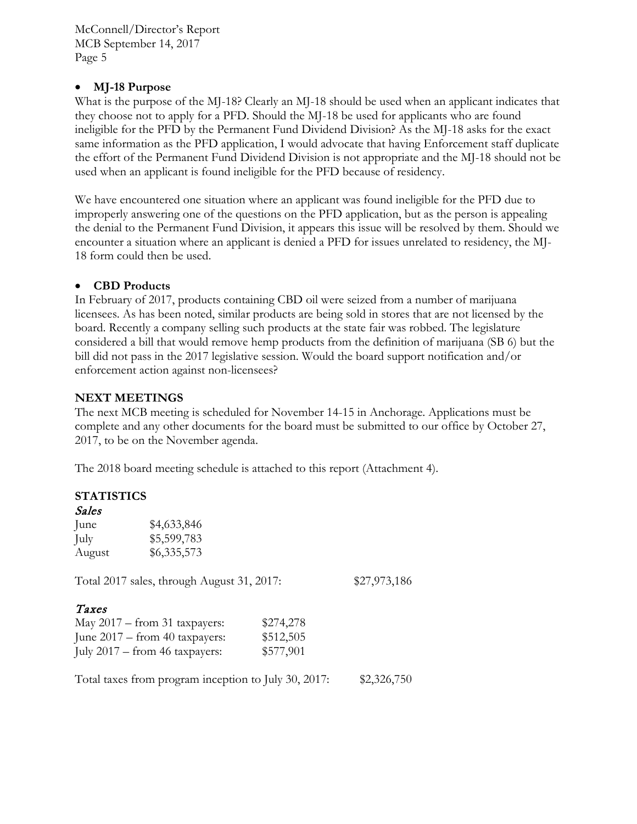McConnell/Director's Report MCB September 14, 2017 Page 5

### • **MJ-18 Purpose**

What is the purpose of the MJ-18? Clearly an MJ-18 should be used when an applicant indicates that they choose not to apply for a PFD. Should the MJ-18 be used for applicants who are found ineligible for the PFD by the Permanent Fund Dividend Division? As the MJ-18 asks for the exact same information as the PFD application, I would advocate that having Enforcement staff duplicate the effort of the Permanent Fund Dividend Division is not appropriate and the MJ-18 should not be used when an applicant is found ineligible for the PFD because of residency.

We have encountered one situation where an applicant was found ineligible for the PFD due to improperly answering one of the questions on the PFD application, but as the person is appealing the denial to the Permanent Fund Division, it appears this issue will be resolved by them. Should we encounter a situation where an applicant is denied a PFD for issues unrelated to residency, the MJ-18 form could then be used.

### • **CBD Products**

In February of 2017, products containing CBD oil were seized from a number of marijuana licensees. As has been noted, similar products are being sold in stores that are not licensed by the board. Recently a company selling such products at the state fair was robbed. The legislature considered a bill that would remove hemp products from the definition of marijuana (SB 6) but the bill did not pass in the 2017 legislative session. Would the board support notification and/or enforcement action against non-licensees?

### **NEXT MEETINGS**

The next MCB meeting is scheduled for November 14-15 in Anchorage. Applications must be complete and any other documents for the board must be submitted to our office by October 27, 2017, to be on the November agenda.

The 2018 board meeting schedule is attached to this report (Attachment 4).

### **STATISTICS**

| Sales  |                                            |           |              |
|--------|--------------------------------------------|-----------|--------------|
| June   | \$4,633,846                                |           |              |
| July   | \$5,599,783                                |           |              |
| August | \$6,335,573                                |           |              |
|        | Total 2017 sales, through August 31, 2017: |           | \$27,973,186 |
| Taxes  |                                            |           |              |
|        | May $2017 -$ from 31 taxpayers:            | \$274,278 |              |
|        | June $2017 -$ from 40 taxpayers:           | \$512,505 |              |
|        | July $2017$ – from 46 taxpayers:           | \$577,901 |              |
|        |                                            |           |              |

Total taxes from program inception to July 30, 2017: \$2,326,750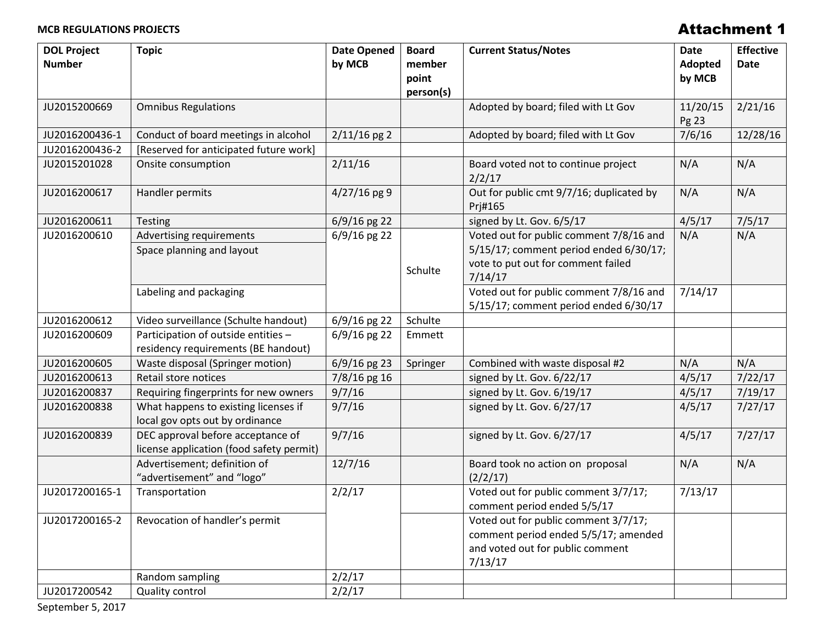### **MCB REGULATIONS PROJECTS**

### Attachment 1

| <b>DOL Project</b><br><b>Number</b> | <b>Topic</b>                                                                  | <b>Date Opened</b><br>by MCB | <b>Board</b><br>member<br>point | <b>Current Status/Notes</b>                                                                                                        | <b>Date</b><br>Adopted<br>by MCB | <b>Effective</b><br><b>Date</b> |
|-------------------------------------|-------------------------------------------------------------------------------|------------------------------|---------------------------------|------------------------------------------------------------------------------------------------------------------------------------|----------------------------------|---------------------------------|
| JU2015200669                        | <b>Omnibus Regulations</b>                                                    |                              | person(s)                       | Adopted by board; filed with Lt Gov                                                                                                | 11/20/15<br>Pg 23                | 2/21/16                         |
| JU2016200436-1                      | Conduct of board meetings in alcohol                                          | $2/11/16$ pg 2               |                                 | Adopted by board; filed with Lt Gov                                                                                                | 7/6/16                           | 12/28/16                        |
| JU2016200436-2                      | [Reserved for anticipated future work]                                        |                              |                                 |                                                                                                                                    |                                  |                                 |
| JU2015201028                        | Onsite consumption                                                            | 2/11/16                      |                                 | Board voted not to continue project<br>2/2/17                                                                                      | N/A                              | N/A                             |
| JU2016200617                        | Handler permits                                                               | $4/27/16$ pg 9               |                                 | Out for public cmt 9/7/16; duplicated by<br>Prj#165                                                                                | N/A                              | N/A                             |
| JU2016200611                        | Testing                                                                       | 6/9/16 pg 22                 |                                 | signed by Lt. Gov. 6/5/17                                                                                                          | 4/5/17                           | 7/5/17                          |
| JU2016200610                        | Advertising requirements<br>Space planning and layout                         | 6/9/16 pg 22                 | Schulte                         | Voted out for public comment 7/8/16 and<br>5/15/17; comment period ended 6/30/17;<br>vote to put out for comment failed<br>7/14/17 | N/A                              | N/A                             |
|                                     | Labeling and packaging                                                        |                              |                                 | Voted out for public comment 7/8/16 and<br>5/15/17; comment period ended 6/30/17                                                   | 7/14/17                          |                                 |
| JU2016200612                        | Video surveillance (Schulte handout)                                          | $6/9/16$ pg 22               | Schulte                         |                                                                                                                                    |                                  |                                 |
| JU2016200609                        | Participation of outside entities -<br>residency requirements (BE handout)    | $6/9/16$ pg 22               | Emmett                          |                                                                                                                                    |                                  |                                 |
| JU2016200605                        | Waste disposal (Springer motion)                                              | $6/9/16$ pg 23               | Springer                        | Combined with waste disposal #2                                                                                                    | N/A                              | N/A                             |
| JU2016200613                        | Retail store notices                                                          | 7/8/16 pg 16                 |                                 | signed by Lt. Gov. 6/22/17                                                                                                         | 4/5/17                           | 7/22/17                         |
| JU2016200837                        | Requiring fingerprints for new owners                                         | 9/7/16                       |                                 | signed by Lt. Gov. 6/19/17                                                                                                         | 4/5/17                           | 7/19/17                         |
| JU2016200838                        | What happens to existing licenses if<br>local gov opts out by ordinance       | 9/7/16                       |                                 | signed by Lt. Gov. 6/27/17                                                                                                         | 4/5/17                           | 7/27/17                         |
| JU2016200839                        | DEC approval before acceptance of<br>license application (food safety permit) | 9/7/16                       |                                 | signed by Lt. Gov. 6/27/17                                                                                                         | 4/5/17                           | 7/27/17                         |
|                                     | Advertisement; definition of<br>"advertisement" and "logo"                    | 12/7/16                      |                                 | Board took no action on proposal<br>(2/2/17)                                                                                       | N/A                              | N/A                             |
| JU2017200165-1                      | Transportation                                                                | 2/2/17                       |                                 | Voted out for public comment 3/7/17;<br>comment period ended 5/5/17                                                                | 7/13/17                          |                                 |
| JU2017200165-2                      | Revocation of handler's permit                                                |                              |                                 | Voted out for public comment 3/7/17;<br>comment period ended 5/5/17; amended<br>and voted out for public comment<br>7/13/17        |                                  |                                 |
|                                     | Random sampling                                                               | 2/2/17                       |                                 |                                                                                                                                    |                                  |                                 |
| JU2017200542                        | Quality control                                                               | 2/2/17                       |                                 |                                                                                                                                    |                                  |                                 |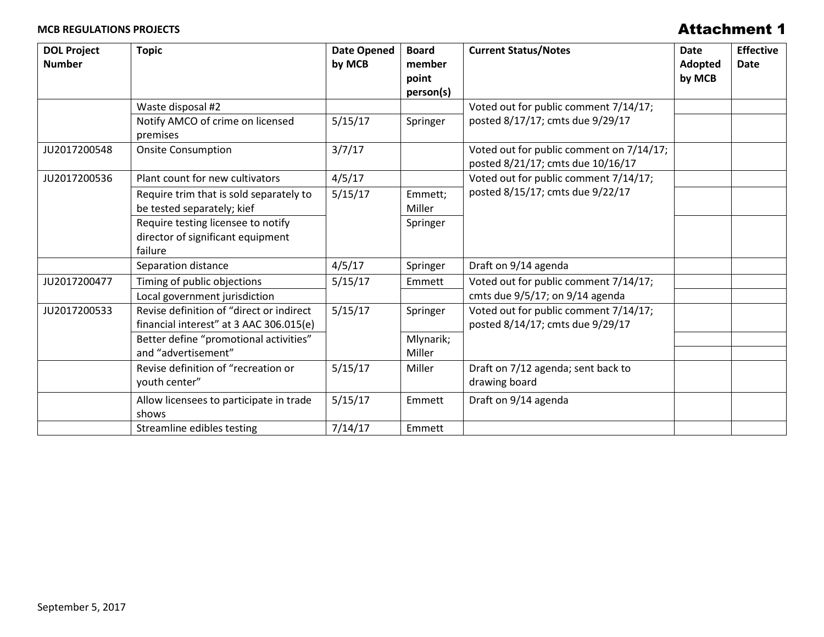### **MCB REGULATIONS PROJECTS**

### Attachment 1

| <b>DOL Project</b><br><b>Number</b> | <b>Topic</b>                                                                        | <b>Date Opened</b><br>by MCB | <b>Board</b><br>member<br>point | <b>Current Status/Notes</b>                                                   | Date<br><b>Adopted</b><br>by MCB | <b>Effective</b><br><b>Date</b> |
|-------------------------------------|-------------------------------------------------------------------------------------|------------------------------|---------------------------------|-------------------------------------------------------------------------------|----------------------------------|---------------------------------|
|                                     |                                                                                     |                              | person(s)                       |                                                                               |                                  |                                 |
|                                     | Waste disposal #2                                                                   |                              |                                 | Voted out for public comment 7/14/17;                                         |                                  |                                 |
|                                     | Notify AMCO of crime on licensed<br>premises                                        | 5/15/17                      | Springer                        | posted 8/17/17; cmts due 9/29/17                                              |                                  |                                 |
| JU2017200548                        | <b>Onsite Consumption</b>                                                           | 3/7/17                       |                                 | Voted out for public comment on 7/14/17;<br>posted 8/21/17; cmts due 10/16/17 |                                  |                                 |
| JU2017200536                        | Plant count for new cultivators                                                     | 4/5/17                       |                                 | Voted out for public comment 7/14/17;                                         |                                  |                                 |
|                                     | Require trim that is sold separately to<br>be tested separately; kief               | 5/15/17                      | Emmett;<br>Miller               | posted 8/15/17; cmts due 9/22/17                                              |                                  |                                 |
|                                     | Require testing licensee to notify<br>director of significant equipment<br>failure  |                              | Springer                        |                                                                               |                                  |                                 |
|                                     | Separation distance                                                                 | 4/5/17                       | Springer                        | Draft on 9/14 agenda                                                          |                                  |                                 |
| JU2017200477                        | Timing of public objections                                                         | 5/15/17                      | Emmett                          | Voted out for public comment 7/14/17;                                         |                                  |                                 |
|                                     | Local government jurisdiction                                                       |                              |                                 | cmts due 9/5/17; on 9/14 agenda                                               |                                  |                                 |
| JU2017200533                        | Revise definition of "direct or indirect<br>financial interest" at 3 AAC 306.015(e) | 5/15/17                      | Springer                        | Voted out for public comment 7/14/17;<br>posted 8/14/17; cmts due 9/29/17     |                                  |                                 |
|                                     | Better define "promotional activities"<br>and "advertisement"                       |                              | Mlynarik;<br>Miller             |                                                                               |                                  |                                 |
|                                     | Revise definition of "recreation or<br>youth center"                                | 5/15/17                      | Miller                          | Draft on 7/12 agenda; sent back to<br>drawing board                           |                                  |                                 |
|                                     | Allow licensees to participate in trade<br>shows                                    | 5/15/17                      | Emmett                          | Draft on 9/14 agenda                                                          |                                  |                                 |
|                                     | Streamline edibles testing                                                          | 7/14/17                      | Emmett                          |                                                                               |                                  |                                 |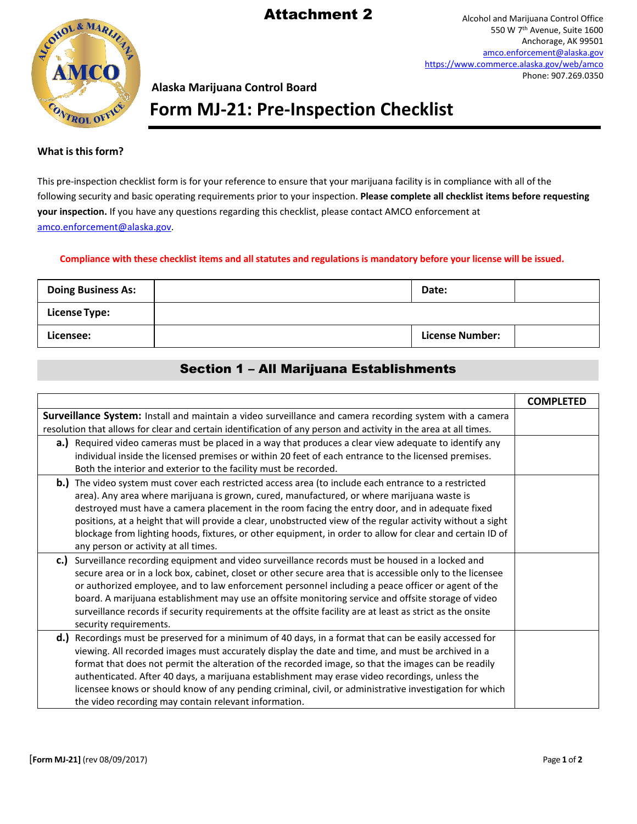### Attachment 2



Alcohol and Marijuana Control Office 550 W 7th Avenue, Suite 1600 Anchorage, AK 99501 [amco.enforcement@alaska.gov](mailto:amco.enforcement@alaska.gov) <https://www.commerce.alaska.gov/web/amco> Phone: 907.269.0350

### **Alaska Marijuana Control Board**

**Form MJ-21: Pre-Inspection Checklist**

#### **What isthisform?**

This pre-inspection checklist form is for your reference to ensure that your marijuana facility is in compliance with all of the following security and basic operating requirements prior to your inspection. **Please complete all checklist items before requesting your inspection.** If you have any questions regarding this checklist, please contact AMCO enforcement at [amco.enforcement@alaska.gov.](mailto:amco.enforcement@alaska.gov)

#### **Compliance with these checklist items and all statutes and regulations is mandatory before your license will be issued.**

| <b>Doing Business As:</b> | Date:                  |  |
|---------------------------|------------------------|--|
| <b>License Type:</b>      |                        |  |
| Licensee:                 | <b>License Number:</b> |  |

### Section 1 – All Marijuana Establishments

|                                                                                                                                                                                                                                                                                                                                                                                                                                                                                                                                                                                          | <b>COMPLETED</b> |
|------------------------------------------------------------------------------------------------------------------------------------------------------------------------------------------------------------------------------------------------------------------------------------------------------------------------------------------------------------------------------------------------------------------------------------------------------------------------------------------------------------------------------------------------------------------------------------------|------------------|
| Surveillance System: Install and maintain a video surveillance and camera recording system with a camera<br>resolution that allows for clear and certain identification of any person and activity in the area at all times.                                                                                                                                                                                                                                                                                                                                                             |                  |
| a.) Required video cameras must be placed in a way that produces a clear view adequate to identify any<br>individual inside the licensed premises or within 20 feet of each entrance to the licensed premises.<br>Both the interior and exterior to the facility must be recorded.                                                                                                                                                                                                                                                                                                       |                  |
| b.) The video system must cover each restricted access area (to include each entrance to a restricted<br>area). Any area where marijuana is grown, cured, manufactured, or where marijuana waste is<br>destroyed must have a camera placement in the room facing the entry door, and in adequate fixed<br>positions, at a height that will provide a clear, unobstructed view of the regular activity without a sight<br>blockage from lighting hoods, fixtures, or other equipment, in order to allow for clear and certain ID of<br>any person or activity at all times.               |                  |
| Surveillance recording equipment and video surveillance records must be housed in a locked and<br>c.<br>secure area or in a lock box, cabinet, closet or other secure area that is accessible only to the licensee<br>or authorized employee, and to law enforcement personnel including a peace officer or agent of the<br>board. A marijuana establishment may use an offsite monitoring service and offsite storage of video<br>surveillance records if security requirements at the offsite facility are at least as strict as the onsite<br>security requirements.                  |                  |
| d.) Recordings must be preserved for a minimum of 40 days, in a format that can be easily accessed for<br>viewing. All recorded images must accurately display the date and time, and must be archived in a<br>format that does not permit the alteration of the recorded image, so that the images can be readily<br>authenticated. After 40 days, a marijuana establishment may erase video recordings, unless the<br>licensee knows or should know of any pending criminal, civil, or administrative investigation for which<br>the video recording may contain relevant information. |                  |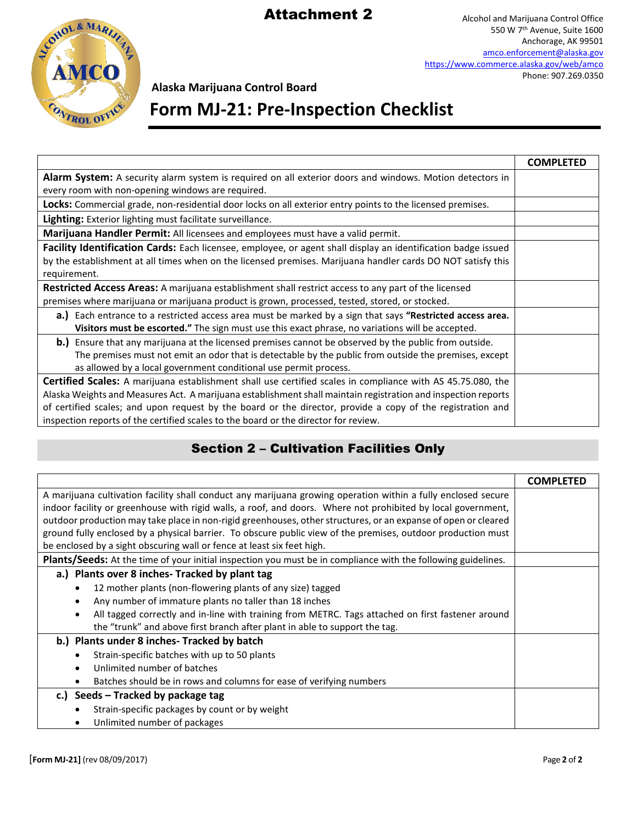## Attachment 2



Alcohol and Marijuana Control Office 550 W 7th Avenue, Suite 1600 Anchorage, AK 99501 [amco.enforcement@alaska.gov](mailto:amco.enforcement@alaska.gov) <https://www.commerce.alaska.gov/web/amco> Phone: 907.269.0350

**Alaska Marijuana Control Board**

# **Form MJ-21: Pre-Inspection Checklist**

|                                                                                                                   | <b>COMPLETED</b> |  |
|-------------------------------------------------------------------------------------------------------------------|------------------|--|
| Alarm System: A security alarm system is required on all exterior doors and windows. Motion detectors in          |                  |  |
| every room with non-opening windows are required.                                                                 |                  |  |
| <b>Locks:</b> Commercial grade, non-residential door locks on all exterior entry points to the licensed premises. |                  |  |
| Lighting: Exterior lighting must facilitate surveillance.                                                         |                  |  |
| Marijuana Handler Permit: All licensees and employees must have a valid permit.                                   |                  |  |
| Facility Identification Cards: Each licensee, employee, or agent shall display an identification badge issued     |                  |  |
| by the establishment at all times when on the licensed premises. Marijuana handler cards DO NOT satisfy this      |                  |  |
| requirement.                                                                                                      |                  |  |
| Restricted Access Areas: A marijuana establishment shall restrict access to any part of the licensed              |                  |  |
| premises where marijuana or marijuana product is grown, processed, tested, stored, or stocked.                    |                  |  |
| a.) Each entrance to a restricted access area must be marked by a sign that says "Restricted access area.         |                  |  |
| Visitors must be escorted." The sign must use this exact phrase, no variations will be accepted.                  |                  |  |
| b.) Ensure that any marijuana at the licensed premises cannot be observed by the public from outside.             |                  |  |
| The premises must not emit an odor that is detectable by the public from outside the premises, except             |                  |  |
| as allowed by a local government conditional use permit process.                                                  |                  |  |
| Certified Scales: A marijuana establishment shall use certified scales in compliance with AS 45.75.080, the       |                  |  |
| Alaska Weights and Measures Act. A marijuana establishment shall maintain registration and inspection reports     |                  |  |
| of certified scales; and upon request by the board or the director, provide a copy of the registration and        |                  |  |
| inspection reports of the certified scales to the board or the director for review.                               |                  |  |

### Section 2 – Cultivation Facilities Only

|                                                                                                                      | <b>COMPLETED</b> |
|----------------------------------------------------------------------------------------------------------------------|------------------|
| A marijuana cultivation facility shall conduct any marijuana growing operation within a fully enclosed secure        |                  |
| indoor facility or greenhouse with rigid walls, a roof, and doors. Where not prohibited by local government,         |                  |
| outdoor production may take place in non-rigid greenhouses, other structures, or an expanse of open or cleared       |                  |
| ground fully enclosed by a physical barrier. To obscure public view of the premises, outdoor production must         |                  |
| be enclosed by a sight obscuring wall or fence at least six feet high.                                               |                  |
| <b>Plants/Seeds:</b> At the time of your initial inspection you must be in compliance with the following guidelines. |                  |
| a.) Plants over 8 inches-Tracked by plant tag                                                                        |                  |
| 12 mother plants (non-flowering plants of any size) tagged                                                           |                  |
| Any number of immature plants no taller than 18 inches                                                               |                  |
| All tagged correctly and in-line with training from METRC. Tags attached on first fastener around                    |                  |
| the "trunk" and above first branch after plant in able to support the tag.                                           |                  |
| b.) Plants under 8 inches-Tracked by batch                                                                           |                  |
| Strain-specific batches with up to 50 plants                                                                         |                  |
| Unlimited number of batches                                                                                          |                  |
| Batches should be in rows and columns for ease of verifying numbers                                                  |                  |
| c.) Seeds $-$ Tracked by package tag                                                                                 |                  |
| Strain-specific packages by count or by weight                                                                       |                  |
| Unlimited number of packages                                                                                         |                  |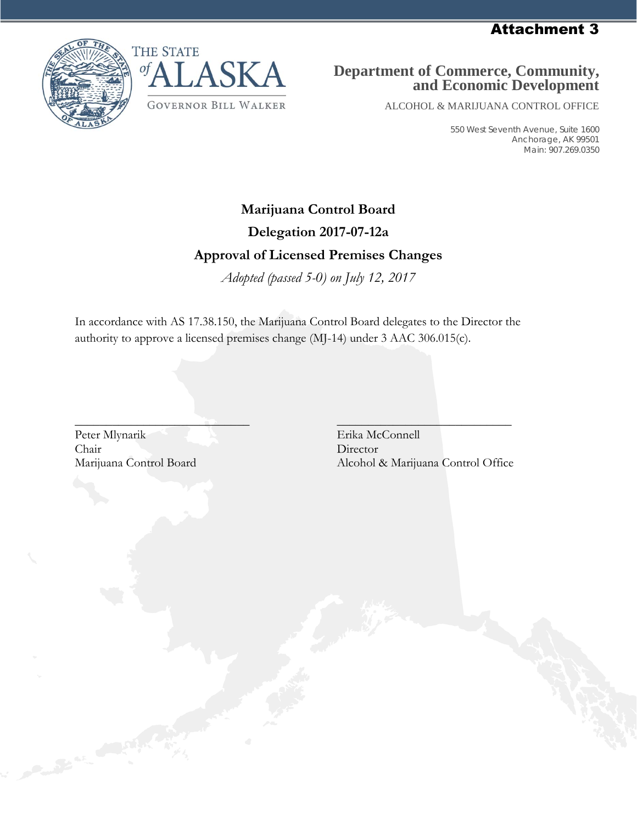Attachment 3





### **Department of Commerce, Community, and Economic Development**

ALCOHOL & MARIJUANA CONTROL OFFICE

550 West Seventh Avenue, Suite 1600 Anchorage, AK 99501 Main: 907.269.0350

### **Marijuana Control Board**

### **Delegation 2017-07-12a**

### **Approval of Licensed Premises Changes**

*Adopted (passed 5-0) on July 12, 2017*

In accordance with AS 17.38.150, the Marijuana Control Board delegates to the Director the authority to approve a licensed premises change (MJ-14) under 3 AAC 306.015(c).

Peter Mlynarik Erika McConnell Chair Director

 $\overline{\phantom{a}}$  , and the contract of the contract of the contract of the contract of the contract of the contract of the contract of the contract of the contract of the contract of the contract of the contract of the contrac Marijuana Control Board Alcohol & Marijuana Control Office